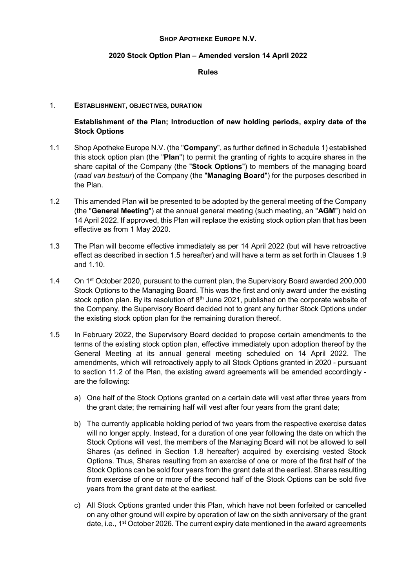### SHOP APOTHEKE EUROPE N.V.

### 2020 Stock Option Plan – Amended version 14 April 2022

Rules

### 1. ESTABLISHMENT, OBJECTIVES, DURATION

Establishment of the Plan; Introduction of new holding periods, expiry date of the Stock Options

- 1.1 Shop Apotheke Europe N.V. (the "Company", as further defined in Schedule 1) established this stock option plan (the "Plan") to permit the granting of rights to acquire shares in the share capital of the Company (the "Stock Options") to members of the managing board (raad van bestuur) of the Company (the "Managing Board") for the purposes described in the Plan.
- 1.2 This amended Plan will be presented to be adopted by the general meeting of the Company (the "General Meeting") at the annual general meeting (such meeting, an "AGM") held on 14 April 2022. If approved, this Plan will replace the existing stock option plan that has been effective as from 1 May 2020.
- 1.3 The Plan will become effective immediately as per 14 April 2022 (but will have retroactive effect as described in section 1.5 hereafter) and will have a term as set forth in Clauses 1.9 and 1.10.
- 1.4 On 1<sup>st</sup> October 2020, pursuant to the current plan, the Supervisory Board awarded 200,000 Stock Options to the Managing Board. This was the first and only award under the existing stock option plan. By its resolution of  $8<sup>th</sup>$  June 2021, published on the corporate website of the Company, the Supervisory Board decided not to grant any further Stock Options under the existing stock option plan for the remaining duration thereof.
- 1.5 In February 2022, the Supervisory Board decided to propose certain amendments to the terms of the existing stock option plan, effective immediately upon adoption thereof by the General Meeting at its annual general meeting scheduled on 14 April 2022. The amendments, which will retroactively apply to all Stock Options granted in 2020 - pursuant to section 11.2 of the Plan, the existing award agreements will be amended accordingly are the following:
	- a) One half of the Stock Options granted on a certain date will vest after three years from the grant date; the remaining half will vest after four years from the grant date;
	- b) The currently applicable holding period of two years from the respective exercise dates will no longer apply. Instead, for a duration of one year following the date on which the Stock Options will vest, the members of the Managing Board will not be allowed to sell Shares (as defined in Section 1.8 hereafter) acquired by exercising vested Stock Options. Thus, Shares resulting from an exercise of one or more of the first half of the Stock Options can be sold four years from the grant date at the earliest. Shares resulting from exercise of one or more of the second half of the Stock Options can be sold five years from the grant date at the earliest.
	- c) All Stock Options granted under this Plan, which have not been forfeited or cancelled on any other ground will expire by operation of law on the sixth anniversary of the grant date, i.e., 1<sup>st</sup> October 2026. The current expiry date mentioned in the award agreements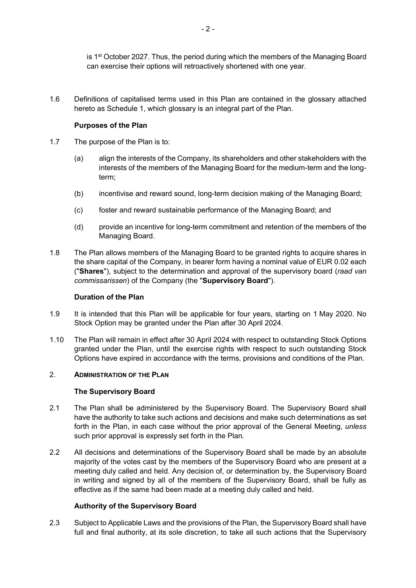is  $1<sup>st</sup> October 2027$ . Thus, the period during which the members of the Managing Board can exercise their options will retroactively shortened with one year.

1.6 Definitions of capitalised terms used in this Plan are contained in the glossary attached hereto as Schedule 1, which glossary is an integral part of the Plan.

## Purposes of the Plan

- 1.7 The purpose of the Plan is to:
	- (a) align the interests of the Company, its shareholders and other stakeholders with the interests of the members of the Managing Board for the medium-term and the longterm;
	- (b) incentivise and reward sound, long-term decision making of the Managing Board;
	- (c) foster and reward sustainable performance of the Managing Board; and
	- (d) provide an incentive for long-term commitment and retention of the members of the Managing Board.
- 1.8 The Plan allows members of the Managing Board to be granted rights to acquire shares in the share capital of the Company, in bearer form having a nominal value of EUR 0.02 each ("Shares"), subject to the determination and approval of the supervisory board (raad van commissarissen) of the Company (the "Supervisory Board").

### Duration of the Plan

- 1.9 It is intended that this Plan will be applicable for four years, starting on 1 May 2020. No Stock Option may be granted under the Plan after 30 April 2024.
- 1.10 The Plan will remain in effect after 30 April 2024 with respect to outstanding Stock Options granted under the Plan, until the exercise rights with respect to such outstanding Stock Options have expired in accordance with the terms, provisions and conditions of the Plan.

### 2 **ADMINISTRATION OF THE PI AN**

### The Supervisory Board

- 2.1 The Plan shall be administered by the Supervisory Board. The Supervisory Board shall have the authority to take such actions and decisions and make such determinations as set forth in the Plan, in each case without the prior approval of the General Meeting, *unless* such prior approval is expressly set forth in the Plan.
- 2.2 All decisions and determinations of the Supervisory Board shall be made by an absolute majority of the votes cast by the members of the Supervisory Board who are present at a meeting duly called and held. Any decision of, or determination by, the Supervisory Board in writing and signed by all of the members of the Supervisory Board, shall be fully as effective as if the same had been made at a meeting duly called and held.

### Authority of the Supervisory Board

2.3 Subject to Applicable Laws and the provisions of the Plan, the Supervisory Board shall have full and final authority, at its sole discretion, to take all such actions that the Supervisory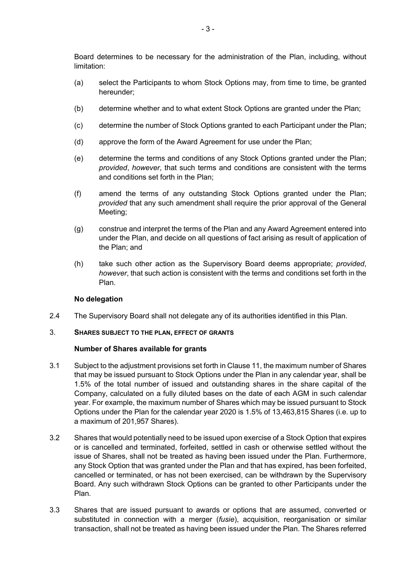Board determines to be necessary for the administration of the Plan, including, without limitation:

- (a) select the Participants to whom Stock Options may, from time to time, be granted hereunder;
- (b) determine whether and to what extent Stock Options are granted under the Plan;
- (c) determine the number of Stock Options granted to each Participant under the Plan;
- (d) approve the form of the Award Agreement for use under the Plan;
- (e) determine the terms and conditions of any Stock Options granted under the Plan; provided, however, that such terms and conditions are consistent with the terms and conditions set forth in the Plan;
- (f) amend the terms of any outstanding Stock Options granted under the Plan; provided that any such amendment shall require the prior approval of the General Meeting;
- (g) construe and interpret the terms of the Plan and any Award Agreement entered into under the Plan, and decide on all questions of fact arising as result of application of the Plan; and
- (h) take such other action as the Supervisory Board deems appropriate; provided, however, that such action is consistent with the terms and conditions set forth in the Plan.

### No delegation

- 2.4 The Supervisory Board shall not delegate any of its authorities identified in this Plan.
- 3. SHARES SUBJECT TO THE PLAN, EFFECT OF GRANTS

### Number of Shares available for grants

- 3.1 Subject to the adjustment provisions set forth in Clause 11, the maximum number of Shares that may be issued pursuant to Stock Options under the Plan in any calendar year, shall be 1.5% of the total number of issued and outstanding shares in the share capital of the Company, calculated on a fully diluted bases on the date of each AGM in such calendar year. For example, the maximum number of Shares which may be issued pursuant to Stock Options under the Plan for the calendar year 2020 is 1.5% of 13,463,815 Shares (i.e. up to a maximum of 201,957 Shares).
- 3.2 Shares that would potentially need to be issued upon exercise of a Stock Option that expires or is cancelled and terminated, forfeited, settled in cash or otherwise settled without the issue of Shares, shall not be treated as having been issued under the Plan. Furthermore, any Stock Option that was granted under the Plan and that has expired, has been forfeited, cancelled or terminated, or has not been exercised, can be withdrawn by the Supervisory Board. Any such withdrawn Stock Options can be granted to other Participants under the Plan.
- 3.3 Shares that are issued pursuant to awards or options that are assumed, converted or substituted in connection with a merger *(fusie)*, acquisition, reorganisation or similar transaction, shall not be treated as having been issued under the Plan. The Shares referred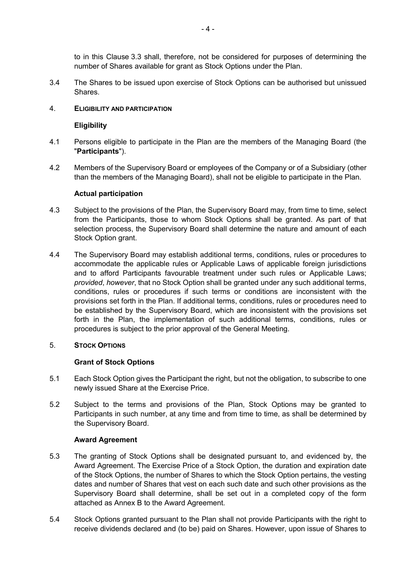to in this Clause 3.3 shall, therefore, not be considered for purposes of determining the number of Shares available for grant as Stock Options under the Plan.

3.4 The Shares to be issued upon exercise of Stock Options can be authorised but unissued Shares.

## 4. ELIGIBILITY AND PARTICIPATION

## **Eligibility**

- 4.1 Persons eligible to participate in the Plan are the members of the Managing Board (the "Participants").
- 4.2 Members of the Supervisory Board or employees of the Company or of a Subsidiary (other than the members of the Managing Board), shall not be eligible to participate in the Plan.

### Actual participation

- 4.3 Subject to the provisions of the Plan, the Supervisory Board may, from time to time, select from the Participants, those to whom Stock Options shall be granted. As part of that selection process, the Supervisory Board shall determine the nature and amount of each Stock Option grant.
- 4.4 The Supervisory Board may establish additional terms, conditions, rules or procedures to accommodate the applicable rules or Applicable Laws of applicable foreign jurisdictions and to afford Participants favourable treatment under such rules or Applicable Laws; provided, however, that no Stock Option shall be granted under any such additional terms, conditions, rules or procedures if such terms or conditions are inconsistent with the provisions set forth in the Plan. If additional terms, conditions, rules or procedures need to be established by the Supervisory Board, which are inconsistent with the provisions set forth in the Plan, the implementation of such additional terms, conditions, rules or procedures is subject to the prior approval of the General Meeting.

### 5. STOCK OPTIONS

## Grant of Stock Options

- 5.1 Each Stock Option gives the Participant the right, but not the obligation, to subscribe to one newly issued Share at the Exercise Price.
- 5.2 Subject to the terms and provisions of the Plan, Stock Options may be granted to Participants in such number, at any time and from time to time, as shall be determined by the Supervisory Board.

### Award Agreement

- 5.3 The granting of Stock Options shall be designated pursuant to, and evidenced by, the Award Agreement. The Exercise Price of a Stock Option, the duration and expiration date of the Stock Options, the number of Shares to which the Stock Option pertains, the vesting dates and number of Shares that vest on each such date and such other provisions as the Supervisory Board shall determine, shall be set out in a completed copy of the form attached as Annex B to the Award Agreement.
- 5.4 Stock Options granted pursuant to the Plan shall not provide Participants with the right to receive dividends declared and (to be) paid on Shares. However, upon issue of Shares to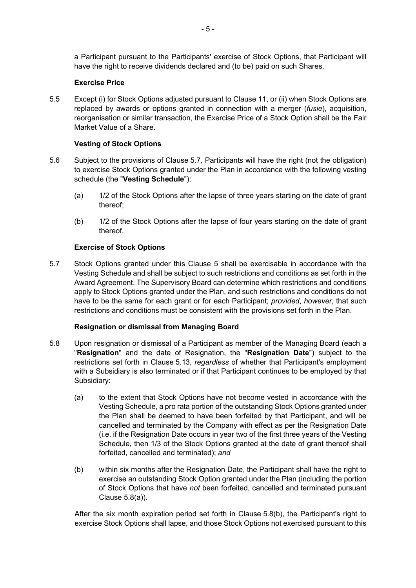a Participant pursuant to the Participants' exercise of Stock Options, that Participant will have the right to receive dividends declared and (to be) paid on such Shares.

## Exercise Price

5.5 Except (i) for Stock Options adjusted pursuant to Clause 11, or (ii) when Stock Options are replaced by awards or options granted in connection with a merger *(fusie)*, acquisition, reorganisation or similar transaction, the Exercise Price of a Stock Option shall be the Fair Market Value of a Share.

## Vesting of Stock Options

- 5.6 Subject to the provisions of Clause 5.7, Participants will have the right (not the obligation) to exercise Stock Options granted under the Plan in accordance with the following vesting schedule (the "Vesting Schedule"):
	- (a) 1/2 of the Stock Options after the lapse of three years starting on the date of grant thereof;
	- (b) 1/2 of the Stock Options after the lapse of four years starting on the date of grant thereof.

## Exercise of Stock Options

5.7 Stock Options granted under this Clause 5 shall be exercisable in accordance with the Vesting Schedule and shall be subject to such restrictions and conditions as set forth in the Award Agreement. The Supervisory Board can determine which restrictions and conditions apply to Stock Options granted under the Plan, and such restrictions and conditions do not have to be the same for each grant or for each Participant; provided, however, that such restrictions and conditions must be consistent with the provisions set forth in the Plan.

### Resignation or dismissal from Managing Board

- 5.8 Upon resignation or dismissal of a Participant as member of the Managing Board (each a "Resianation" and the date of Resignation, the "Resignation Date") subject to the restrictions set forth in Clause 5.13, regardless of whether that Participant's employment with a Subsidiary is also terminated or if that Participant continues to be employed by that Subsidiary:
	- (a) to the extent that Stock Options have not become vested in accordance with the Vesting Schedule, a pro rata portion of the outstanding Stock Options granted under the Plan shall be deemed to have been forfeited by that Participant, and will be cancelled and terminated by the Company with effect as per the Resignation Date (i.e. if the Resignation Date occurs in year two of the first three years of the Vesting Schedule, then 1/3 of the Stock Options granted at the date of grant thereof shall forfeited, cancelled and terminated); and
	- (b) within six months after the Resignation Date, the Participant shall have the right to exercise an outstanding Stock Option granted under the Plan (including the portion of Stock Options that have not been forfeited, cancelled and terminated pursuant Clause 5.8(a)).

After the six month expiration period set forth in Clause 5.8(b), the Participant's right to exercise Stock Options shall lapse, and those Stock Options not exercised pursuant to this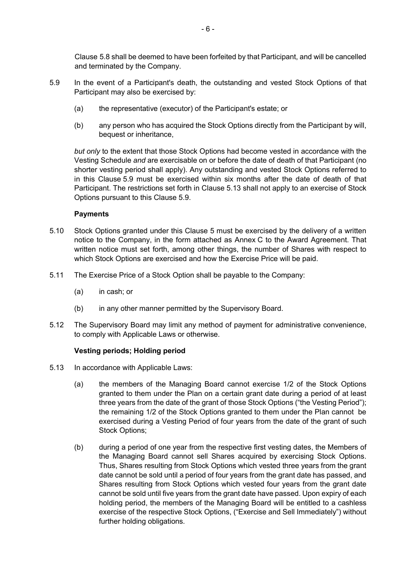Clause 5.8 shall be deemed to have been forfeited by that Participant, and will be cancelled and terminated by the Company.

- 5.9 In the event of a Participant's death, the outstanding and vested Stock Options of that Participant may also be exercised by:
	- (a) the representative (executor) of the Participant's estate; or
	- (b) any person who has acquired the Stock Options directly from the Participant by will, bequest or inheritance,

but only to the extent that those Stock Options had become vested in accordance with the Vesting Schedule and are exercisable on or before the date of death of that Participant (no shorter vesting period shall apply). Any outstanding and vested Stock Options referred to in this Clause 5.9 must be exercised within six months after the date of death of that Participant. The restrictions set forth in Clause 5.13 shall not apply to an exercise of Stock Options pursuant to this Clause 5.9.

### **Payments**

- 5.10 Stock Options granted under this Clause 5 must be exercised by the delivery of a written notice to the Company, in the form attached as Annex C to the Award Agreement. That written notice must set forth, among other things, the number of Shares with respect to which Stock Options are exercised and how the Exercise Price will be paid.
- 5.11 The Exercise Price of a Stock Option shall be payable to the Company:
	- (a) in cash; or
	- (b) in any other manner permitted by the Supervisory Board.
- 5.12 The Supervisory Board may limit any method of payment for administrative convenience, to comply with Applicable Laws or otherwise.

### Vesting periods; Holding period

- 5.13 In accordance with Applicable Laws:
	- (a) the members of the Managing Board cannot exercise 1/2 of the Stock Options granted to them under the Plan on a certain grant date during a period of at least three years from the date of the grant of those Stock Options ("the Vesting Period"); the remaining 1/2 of the Stock Options granted to them under the Plan cannot be exercised during a Vesting Period of four years from the date of the grant of such Stock Options;
	- (b) during a period of one year from the respective first vesting dates, the Members of the Managing Board cannot sell Shares acquired by exercising Stock Options. Thus, Shares resulting from Stock Options which vested three years from the grant date cannot be sold until a period of four years from the grant date has passed, and Shares resulting from Stock Options which vested four years from the grant date cannot be sold until five years from the grant date have passed. Upon expiry of each holding period, the members of the Managing Board will be entitled to a cashless exercise of the respective Stock Options, ("Exercise and Sell Immediately") without further holding obligations.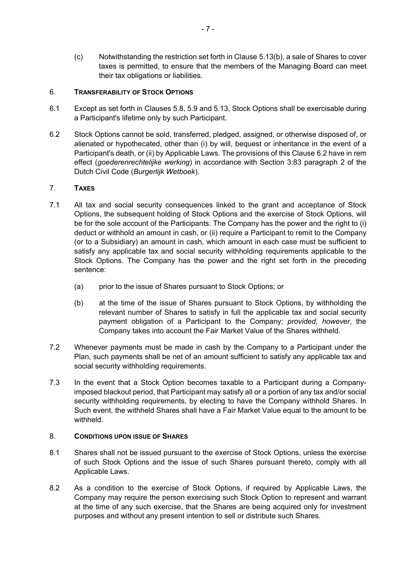(c) Notwithstanding the restriction set forth in Clause 5.13(b), a sale of Shares to cover taxes is permitted, to ensure that the members of the Managing Board can meet their tax obligations or liabilities.

## 6. TRANSFERABILITY OF STOCK OPTIONS

- 6.1 Except as set forth in Clauses 5.8, 5.9 and 5.13, Stock Options shall be exercisable during a Participant's lifetime only by such Participant.
- 6.2 Stock Options cannot be sold, transferred, pledged, assigned, or otherwise disposed of, or alienated or hypothecated, other than (i) by will, bequest or inheritance in the event of a Participant's death, or (ii) by Applicable Laws. The provisions of this Clause 6.2 have in rem effect (goederenrechtelijke werking) in accordance with Section 3:83 paragraph 2 of the Dutch Civil Code (Burgerlijk Wetboek).

# 7. TAXES

- 7.1 All tax and social security consequences linked to the grant and acceptance of Stock Options, the subsequent holding of Stock Options and the exercise of Stock Options, will be for the sole account of the Participants. The Company has the power and the right to (i) deduct or withhold an amount in cash, or (ii) require a Participant to remit to the Company (or to a Subsidiary) an amount in cash, which amount in each case must be sufficient to satisfy any applicable tax and social security withholding requirements applicable to the Stock Options. The Company has the power and the right set forth in the preceding sentence:
	- (a) prior to the issue of Shares pursuant to Stock Options; or
	- (b) at the time of the issue of Shares pursuant to Stock Options, by withholding the relevant number of Shares to satisfy in full the applicable tax and social security payment obligation of a Participant to the Company; provided, however, the Company takes into account the Fair Market Value of the Shares withheld.
- 7.2 Whenever payments must be made in cash by the Company to a Participant under the Plan, such payments shall be net of an amount sufficient to satisfy any applicable tax and social security withholding requirements.
- 7.3 In the event that a Stock Option becomes taxable to a Participant during a Companyimposed blackout period, that Participant may satisfy all or a portion of any tax and/or social security withholding requirements, by electing to have the Company withhold Shares. In Such event, the withheld Shares shall have a Fair Market Value equal to the amount to be withheld.

### 8. CONDITIONS UPON ISSUE OF SHARES

- 8.1 Shares shall not be issued pursuant to the exercise of Stock Options, unless the exercise of such Stock Options and the issue of such Shares pursuant thereto, comply with all Applicable Laws.
- 8.2 As a condition to the exercise of Stock Options, if required by Applicable Laws, the Company may require the person exercising such Stock Option to represent and warrant at the time of any such exercise, that the Shares are being acquired only for investment purposes and without any present intention to sell or distribute such Shares.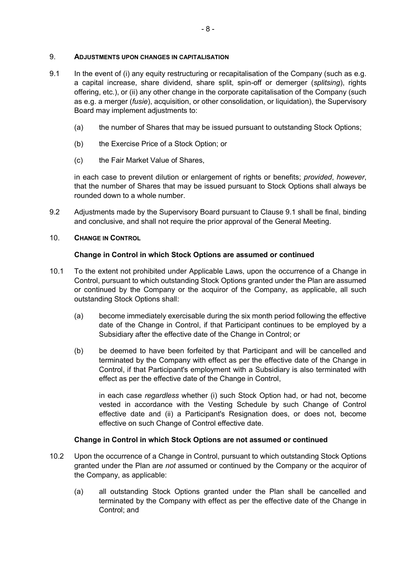### 9. ADJUSTMENTS UPON CHANGES IN CAPITALISATION

- 9.1 In the event of (i) any equity restructuring or recapitalisation of the Company (such as e.g. a capital increase, share dividend, share split, spin-off or demerger (splitsing), rights offering, etc.), or (ii) any other change in the corporate capitalisation of the Company (such as e.g. a merger (fusie), acquisition, or other consolidation, or liquidation), the Supervisory Board may implement adjustments to:
	- (a) the number of Shares that may be issued pursuant to outstanding Stock Options;
	- (b) the Exercise Price of a Stock Option; or
	- (c) the Fair Market Value of Shares,

in each case to prevent dilution or enlargement of rights or benefits; provided, however, that the number of Shares that may be issued pursuant to Stock Options shall always be rounded down to a whole number.

9.2 Adjustments made by the Supervisory Board pursuant to Clause 9.1 shall be final, binding and conclusive, and shall not require the prior approval of the General Meeting.

### 10. CHANGE IN CONTROL

## Change in Control in which Stock Options are assumed or continued

- 10.1 To the extent not prohibited under Applicable Laws, upon the occurrence of a Change in Control, pursuant to which outstanding Stock Options granted under the Plan are assumed or continued by the Company or the acquiror of the Company, as applicable, all such outstanding Stock Options shall:
	- (a) become immediately exercisable during the six month period following the effective date of the Change in Control, if that Participant continues to be employed by a Subsidiary after the effective date of the Change in Control; or
	- (b) be deemed to have been forfeited by that Participant and will be cancelled and terminated by the Company with effect as per the effective date of the Change in Control, if that Participant's employment with a Subsidiary is also terminated with effect as per the effective date of the Change in Control,

in each case regardless whether (i) such Stock Option had, or had not, become vested in accordance with the Vesting Schedule by such Change of Control effective date and (ii) a Participant's Resignation does, or does not, become effective on such Change of Control effective date.

### Change in Control in which Stock Options are not assumed or continued

- 10.2 Upon the occurrence of a Change in Control, pursuant to which outstanding Stock Options granted under the Plan are not assumed or continued by the Company or the acquiror of the Company, as applicable:
	- (a) all outstanding Stock Options granted under the Plan shall be cancelled and terminated by the Company with effect as per the effective date of the Change in Control; and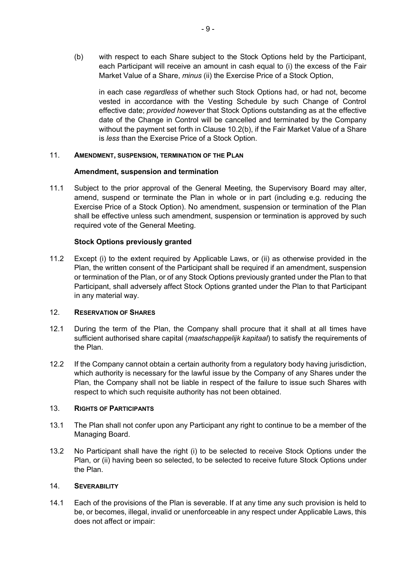(b) with respect to each Share subject to the Stock Options held by the Participant, each Participant will receive an amount in cash equal to (i) the excess of the Fair Market Value of a Share, minus (ii) the Exercise Price of a Stock Option,

in each case regardless of whether such Stock Options had, or had not, become vested in accordance with the Vesting Schedule by such Change of Control effective date; provided however that Stock Options outstanding as at the effective date of the Change in Control will be cancelled and terminated by the Company without the payment set forth in Clause 10.2(b), if the Fair Market Value of a Share is less than the Exercise Price of a Stock Option.

## 11. AMENDMENT, SUSPENSION, TERMINATION OF THE PLAN

## Amendment, suspension and termination

11.1 Subject to the prior approval of the General Meeting, the Supervisory Board may alter, amend, suspend or terminate the Plan in whole or in part (including e.g. reducing the Exercise Price of a Stock Option). No amendment, suspension or termination of the Plan shall be effective unless such amendment, suspension or termination is approved by such required vote of the General Meeting.

## Stock Options previously granted

11.2 Except (i) to the extent required by Applicable Laws, or (ii) as otherwise provided in the Plan, the written consent of the Participant shall be required if an amendment, suspension or termination of the Plan, or of any Stock Options previously granted under the Plan to that Participant, shall adversely affect Stock Options granted under the Plan to that Participant in any material way.

### 12. RESERVATION OF SHARES

- 12.1 During the term of the Plan, the Company shall procure that it shall at all times have sufficient authorised share capital (maatschappelijk kapitaal) to satisfy the requirements of the Plan.
- 12.2 If the Company cannot obtain a certain authority from a regulatory body having jurisdiction, which authority is necessary for the lawful issue by the Company of any Shares under the Plan, the Company shall not be liable in respect of the failure to issue such Shares with respect to which such requisite authority has not been obtained.

### 13. RIGHTS OF PARTICIPANTS

- 13.1 The Plan shall not confer upon any Participant any right to continue to be a member of the Managing Board.
- 13.2 No Participant shall have the right (i) to be selected to receive Stock Options under the Plan, or (ii) having been so selected, to be selected to receive future Stock Options under the Plan.

### 14. SEVERABILITY

14.1 Each of the provisions of the Plan is severable. If at any time any such provision is held to be, or becomes, illegal, invalid or unenforceable in any respect under Applicable Laws, this does not affect or impair: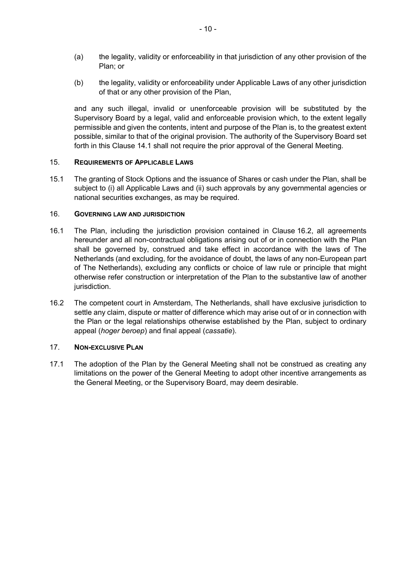- (a) the legality, validity or enforceability in that jurisdiction of any other provision of the Plan; or
- (b) the legality, validity or enforceability under Applicable Laws of any other jurisdiction of that or any other provision of the Plan,

and any such illegal, invalid or unenforceable provision will be substituted by the Supervisory Board by a legal, valid and enforceable provision which, to the extent legally permissible and given the contents, intent and purpose of the Plan is, to the greatest extent possible, similar to that of the original provision. The authority of the Supervisory Board set forth in this Clause 14.1 shall not require the prior approval of the General Meeting.

### 15. REQUIREMENTS OF APPLICABLE LAWS

15.1 The granting of Stock Options and the issuance of Shares or cash under the Plan, shall be subject to (i) all Applicable Laws and (ii) such approvals by any governmental agencies or national securities exchanges, as may be required.

### 16. GOVERNING LAW AND JURISDICTION

- 16.1 The Plan, including the jurisdiction provision contained in Clause 16.2, all agreements hereunder and all non-contractual obligations arising out of or in connection with the Plan shall be governed by, construed and take effect in accordance with the laws of The Netherlands (and excluding, for the avoidance of doubt, the laws of any non-European part of The Netherlands), excluding any conflicts or choice of law rule or principle that might otherwise refer construction or interpretation of the Plan to the substantive law of another jurisdiction.
- 16.2 The competent court in Amsterdam, The Netherlands, shall have exclusive jurisdiction to settle any claim, dispute or matter of difference which may arise out of or in connection with the Plan or the legal relationships otherwise established by the Plan, subject to ordinary appeal (hoger beroep) and final appeal (cassatie).

## 17. NON-EXCLUSIVE PLAN

17.1 The adoption of the Plan by the General Meeting shall not be construed as creating any limitations on the power of the General Meeting to adopt other incentive arrangements as the General Meeting, or the Supervisory Board, may deem desirable.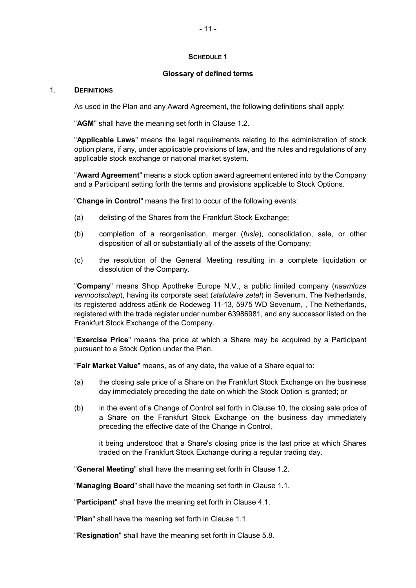## SCHEDULE 1

## Glossary of defined terms

### 1. DEFINITIONS

As used in the Plan and any Award Agreement, the following definitions shall apply:

"AGM" shall have the meaning set forth in Clause 1.2.

"Applicable Laws" means the legal requirements relating to the administration of stock option plans, if any, under applicable provisions of law, and the rules and regulations of any applicable stock exchange or national market system.

"Award Agreement" means a stock option award agreement entered into by the Company and a Participant setting forth the terms and provisions applicable to Stock Options.

"Change in Control" means the first to occur of the following events:

- (a) delisting of the Shares from the Frankfurt Stock Exchange;
- (b) completion of a reorganisation, merger (*fusie*), consolidation, sale, or other disposition of all or substantially all of the assets of the Company;
- (c) the resolution of the General Meeting resulting in a complete liquidation or dissolution of the Company.

"Company" means Shop Apotheke Europe N.V., a public limited company (naamloze vennootschap), having its corporate seat (statutaire zetel) in Sevenum, The Netherlands, its registered address atErik de Rodeweg 11-13, 5975 WD Sevenum, , The Netherlands, registered with the trade register under number 63986981, and any successor listed on the Frankfurt Stock Exchange of the Company.

"Exercise Price" means the price at which a Share may be acquired by a Participant pursuant to a Stock Option under the Plan.

"Fair Market Value" means, as of any date, the value of a Share equal to:

- (a) the closing sale price of a Share on the Frankfurt Stock Exchange on the business day immediately preceding the date on which the Stock Option is granted; or
- (b) in the event of a Change of Control set forth in Clause 10, the closing sale price of a Share on the Frankfurt Stock Exchange on the business day immediately preceding the effective date of the Change in Control,

it being understood that a Share's closing price is the last price at which Shares traded on the Frankfurt Stock Exchange during a regular trading day.

"General Meeting" shall have the meaning set forth in Clause 1.2.

"Managing Board" shall have the meaning set forth in Clause 1.1.

"Participant" shall have the meaning set forth in Clause 4.1.

"Plan" shall have the meaning set forth in Clause 1.1.

"Resignation" shall have the meaning set forth in Clause 5.8.